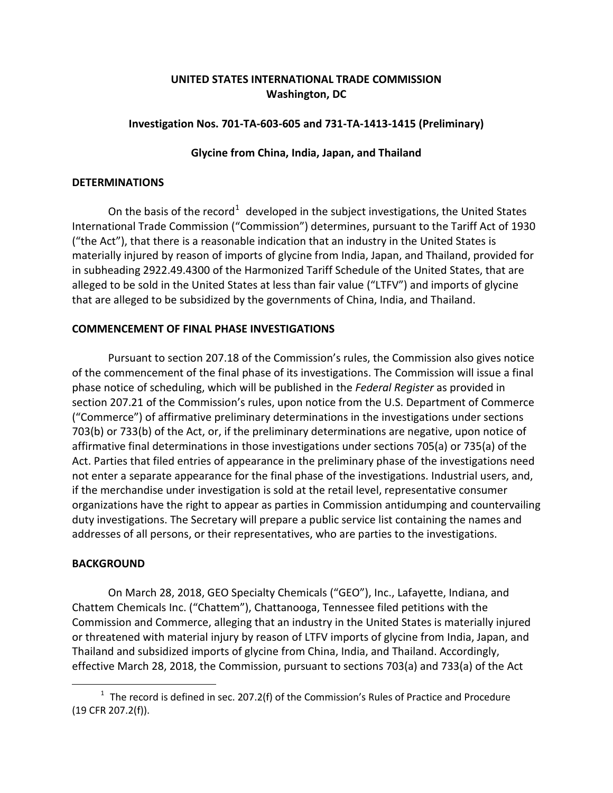# **UNITED STATES INTERNATIONAL TRADE COMMISSION Washington, DC**

## **Investigation Nos. 701‐TA‐603‐605 and 731‐TA‐1413‐1415 (Preliminary)**

# **Glycine from China, India, Japan, and Thailand**

#### **DETERMINATIONS**

On the basis of the record<sup>[1](#page-0-0)</sup> developed in the subject investigations, the United States International Trade Commission ("Commission") determines, pursuant to the Tariff Act of 1930 ("the Act"), that there is a reasonable indication that an industry in the United States is materially injured by reason of imports of glycine from India, Japan, and Thailand, provided for in subheading 2922.49.4300 of the Harmonized Tariff Schedule of the United States, that are alleged to be sold in the United States at less than fair value ("LTFV") and imports of glycine that are alleged to be subsidized by the governments of China, India, and Thailand.

## **COMMENCEMENT OF FINAL PHASE INVESTIGATIONS**

Pursuant to section 207.18 of the Commission's rules, the Commission also gives notice of the commencement of the final phase of its investigations. The Commission will issue a final phase notice of scheduling, which will be published in the *Federal Register* as provided in section 207.21 of the Commission's rules, upon notice from the U.S. Department of Commerce ("Commerce") of affirmative preliminary determinations in the investigations under sections 703(b) or 733(b) of the Act, or, if the preliminary determinations are negative, upon notice of affirmative final determinations in those investigations under sections 705(a) or 735(a) of the Act. Parties that filed entries of appearance in the preliminary phase of the investigations need not enter a separate appearance for the final phase of the investigations. Industrial users, and, if the merchandise under investigation is sold at the retail level, representative consumer organizations have the right to appear as parties in Commission antidumping and countervailing duty investigations. The Secretary will prepare a public service list containing the names and addresses of all persons, or their representatives, who are parties to the investigations.

## **BACKGROUND**

 $\overline{a}$ 

On March 28, 2018, GEO Specialty Chemicals ("GEO"), Inc., Lafayette, Indiana, and Chattem Chemicals Inc. ("Chattem"), Chattanooga, Tennessee filed petitions with the Commission and Commerce, alleging that an industry in the United States is materially injured or threatened with material injury by reason of LTFV imports of glycine from India, Japan, and Thailand and subsidized imports of glycine from China, India, and Thailand. Accordingly, effective March 28, 2018, the Commission, pursuant to sections 703(a) and 733(a) of the Act

<span id="page-0-0"></span> $1$  The record is defined in sec. 207.2(f) of the Commission's Rules of Practice and Procedure (19 CFR 207.2(f)).